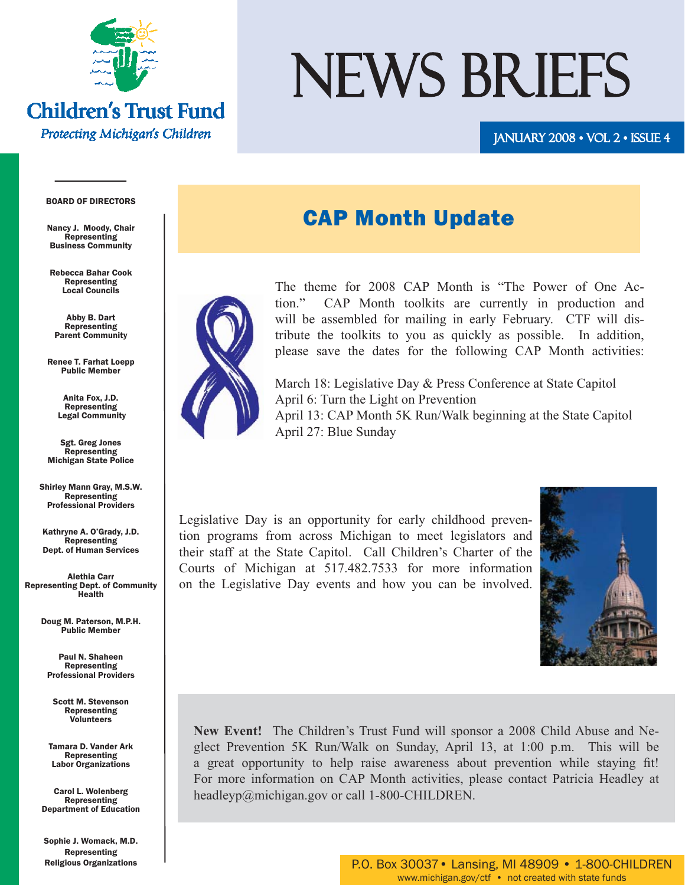

### **Children's Trust Fund** Protecting Michigan's Children

# NEWS BRIEFS

### January 2008 • Vol 2 • Issue 4 008

### BOARD OF DIRECTORS

Nancy J. Moody, Chair Representing Business Community

Rebecca Bahar Cook Representing Local Councils

Abby B. Dart Representing Parent Community

Renee T. Farhat Loepp Public Member

> Anita Fox, J.D. Representing Legal Community

Sgt. Greg Jones Representing Michigan State Police

Shirley Mann Gray, M.S.W. **Representing** Professional Providers

Kathryne A. O'Grady, J.D. Representing Dept. of Human Services

Alethia Carr Representing Dept. of Community Health

> Doug M. Paterson, M.P.H. Public Member

Paul N. Shaheen Representing Professional Providers

Scott M. Stevenson Representing Volunteers

Tamara D. Vander Ark Representing Labor Organizations

Carol L. Wolenberg Representing Department of Education

Sophie J. Womack, M.D. Representing Religious Organizations

# CAP Month Update



The theme for 2008 CAP Month is "The Power of One Action." CAP Month toolkits are currently in production and will be assembled for mailing in early February. CTF will distribute the toolkits to you as quickly as possible. In addition, please save the dates for the following CAP Month activities:

March 18: Legislative Day & Press Conference at State Capitol April 6: Turn the Light on Prevention April 13: CAP Month 5K Run/Walk beginning at the State Capitol April 27: Blue Sunday

Legislative Day is an opportunity for early childhood prevention programs from across Michigan to meet legislators and their staff at the State Capitol. Call Children's Charter of the Courts of Michigan at 517.482.7533 for more information on the Legislative Day events and how you can be involved.



**New Event!** The Children's Trust Fund will sponsor a 2008 Child Abuse and Neglect Prevention 5K Run/Walk on Sunday, April 13, at 1:00 p.m. This will be a great opportunity to help raise awareness about prevention while staying fit! For more information on CAP Month activities, please contact Patricia Headley at headleyp@michigan.gov or call 1-800-CHILDREN.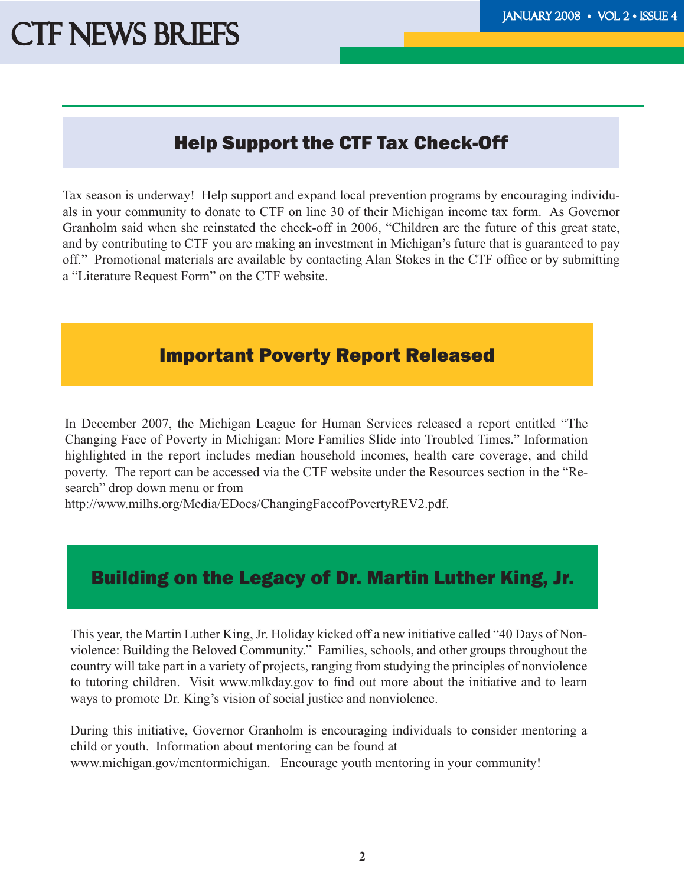# Help Support the CTF Tax Check-Off

Tax season is underway! Help support and expand local prevention programs by encouraging individuals in your community to donate to CTF on line 30 of their Michigan income tax form. As Governor Granholm said when she reinstated the check-off in 2006, "Children are the future of this great state, and by contributing to CTF you are making an investment in Michigan's future that is guaranteed to pay off." Promotional materials are available by contacting Alan Stokes in the CTF office or by submitting a "Literature Request Form" on the CTF website.

### Important Poverty Report Released

In December 2007, the Michigan League for Human Services released a report entitled "The Changing Face of Poverty in Michigan: More Families Slide into Troubled Times." Information highlighted in the report includes median household incomes, health care coverage, and child poverty. The report can be accessed via the CTF website under the Resources section in the "Research" drop down menu or from

http://www.milhs.org/Media/EDocs/ChangingFaceofPovertyREV2.pdf.

## Building on the Legacy of Dr. Martin Luther King, Jr.

This year, the Martin Luther King, Jr. Holiday kicked off a new initiative called "40 Days of Nonviolence: Building the Beloved Community." Families, schools, and other groups throughout the country will take part in a variety of projects, ranging from studying the principles of nonviolence to tutoring children. Visit www.mlkday.gov to find out more about the initiative and to learn ways to promote Dr. King's vision of social justice and nonviolence.

During this initiative, Governor Granholm is encouraging individuals to consider mentoring a child or youth. Information about mentoring can be found at www.michigan.gov/mentormichigan. Encourage youth mentoring in your community!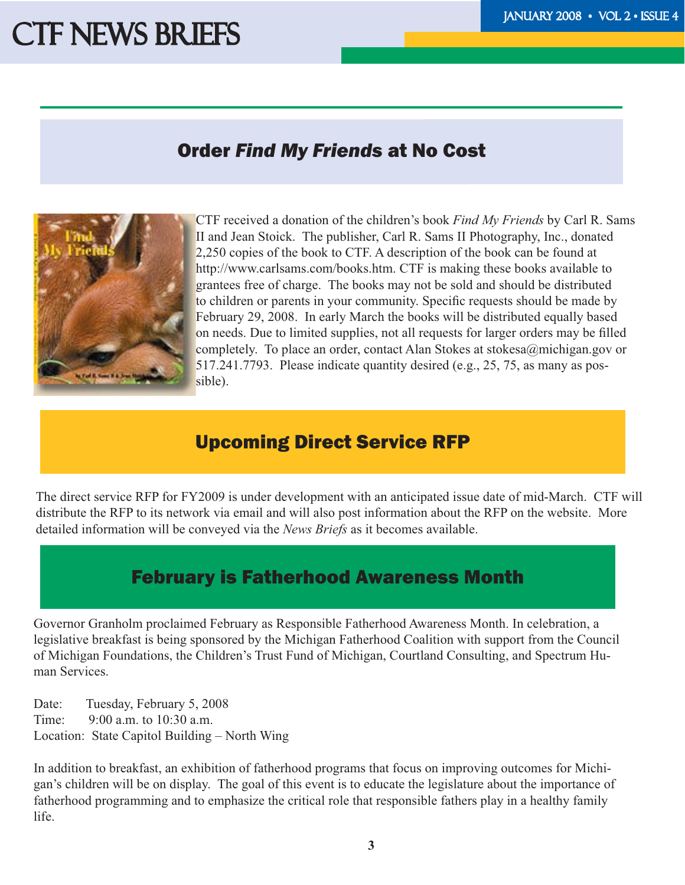# CTF NEWS BRIEFS THE TEST TELEVISION OF THE TANDER OF THE TANDER OF THE TANDER OF THE TANDER OF THE TANDER OF THE TANDER OF THE TANDER OF THE TANDER OF THE TANDER OF THE TANDER OF THE TANDER OF THE TANDER OF THE TANDER OF T

### Order *Find My Friends* at No Cost



CTF received a donation of the children's book *Find My Friends* by Carl R. Sams II and Jean Stoick. The publisher, Carl R. Sams II Photography, Inc., donated 2,250 copies of the book to CTF. A description of the book can be found at http://www.carlsams.com/books.htm. CTF is making these books available to grantees free of charge. The books may not be sold and should be distributed to children or parents in your community. Specific requests should be made by February 29, 2008. In early March the books will be distributed equally based on needs. Due to limited supplies, not all requests for larger orders may be filled completely. To place an order, contact Alan Stokes at stokesa@michigan.gov or 517.241.7793. Please indicate quantity desired (e.g., 25, 75, as many as possible).

### Upcoming Direct Service RFP

The direct service RFP for FY2009 is under development with an anticipated issue date of mid-March. CTF will distribute the RFP to its network via email and will also post information about the RFP on the website. More detailed information will be conveyed via the *News Briefs* as it becomes available.

## February is Fatherhood Awareness Month

Governor Granholm proclaimed February as Responsible Fatherhood Awareness Month. In celebration, a legislative breakfast is being sponsored by the Michigan Fatherhood Coalition with support from the Council of Michigan Foundations, the Children's Trust Fund of Michigan, Courtland Consulting, and Spectrum Human Services.

Date: Tuesday, February 5, 2008 Time: 9:00 a.m. to 10:30 a.m. Location: State Capitol Building – North Wing

In addition to breakfast, an exhibition of fatherhood programs that focus on improving outcomes for Michigan's children will be on display. The goal of this event is to educate the legislature about the importance of fatherhood programming and to emphasize the critical role that responsible fathers play in a healthy family life.